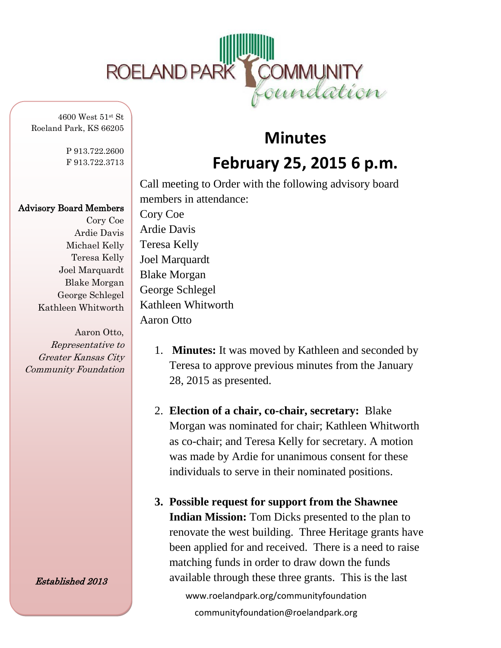

4600 West 51st St Roeland Park, KS 66205

> P 913.722.2600 F 913.722.3713

## Advisory Board Members

Cory Coe Ardie Davis Michael Kelly Teresa Kelly Joel Marquardt Blake Morgan George Schlegel Kathleen Whitworth

Aaron Otto, Representative to Greater Kansas City Community Foundation

Established 2013

## **Minutes February 25, 2015 6 p.m.**

Call meeting to Order with the following advisory board members in attendance: Cory Coe Ardie Davis Teresa Kelly Joel Marquardt Blake Morgan George Schlegel Kathleen Whitworth Aaron Otto

- 1. **Minutes:** It was moved by Kathleen and seconded by Teresa to approve previous minutes from the January 28, 2015 as presented.
- 2. **Election of a chair, co-chair, secretary:** Blake Morgan was nominated for chair; Kathleen Whitworth as co-chair; and Teresa Kelly for secretary. A motion was made by Ardie for unanimous consent for these individuals to serve in their nominated positions.
- **3. Possible request for support from the Shawnee Indian Mission:** Tom Dicks presented to the plan to renovate the west building. Three Heritage grants have been applied for and received. There is a need to raise matching funds in order to draw down the funds available through these three grants. This is the last

www.roelandpark.org/communityfoundation communityfoundation@roelandpark.org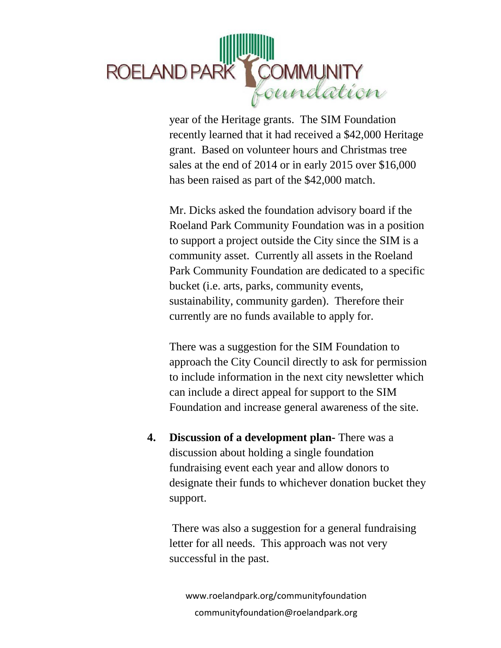

year of the Heritage grants. The SIM Foundation recently learned that it had received a \$42,000 Heritage grant. Based on volunteer hours and Christmas tree sales at the end of 2014 or in early 2015 over \$16,000 has been raised as part of the \$42,000 match.

Mr. Dicks asked the foundation advisory board if the Roeland Park Community Foundation was in a position to support a project outside the City since the SIM is a community asset. Currently all assets in the Roeland Park Community Foundation are dedicated to a specific bucket (i.e. arts, parks, community events, sustainability, community garden). Therefore their currently are no funds available to apply for.

There was a suggestion for the SIM Foundation to approach the City Council directly to ask for permission to include information in the next city newsletter which can include a direct appeal for support to the SIM Foundation and increase general awareness of the site.

**4. Discussion of a development plan-** There was a discussion about holding a single foundation fundraising event each year and allow donors to designate their funds to whichever donation bucket they support.

There was also a suggestion for a general fundraising letter for all needs. This approach was not very successful in the past.

www.roelandpark.org/communityfoundation communityfoundation@roelandpark.org